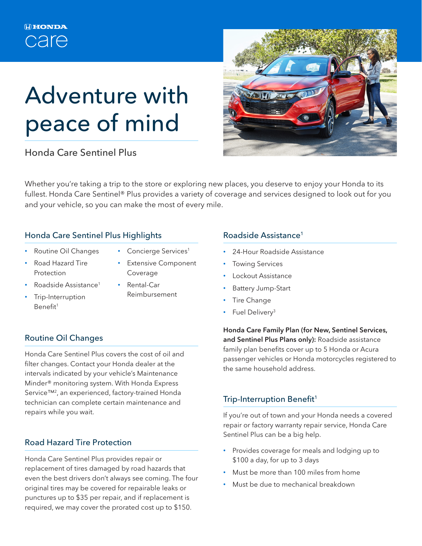# Adventure with peace of mind

Honda Care Sentinel Plus



Whether you're taking a trip to the store or exploring new places, you deserve to enjoy your Honda to its fullest. Honda Care Sentinel® Plus provides a variety of coverage and services designed to look out for you and your vehicle, so you can make the most of every mile.

#### Honda Care Sentinel Plus Highlights

- Routine Oil Changes
- Concierge Services<sup>1</sup>
- Road Hazard Tire Protection
- Extensive Component Coverage
- Roadside Assistance<sup>1</sup>
- Trip-Interruption Benefit1
- Rental-Car
- Reimbursement

## Routine Oil Changes

Honda Care Sentinel Plus covers the cost of oil and filter changes. Contact your Honda dealer at the intervals indicated by your vehicle's Maintenance Minder® monitoring system. With Honda Express Service™<sup>2</sup>, an experienced, factory-trained Honda technician can complete certain maintenance and repairs while you wait.

## Road Hazard Tire Protection

Honda Care Sentinel Plus provides repair or replacement of tires damaged by road hazards that even the best drivers don't always see coming. The four original tires may be covered for repairable leaks or punctures up to \$35 per repair, and if replacement is required, we may cover the prorated cost up to \$150.

#### Roadside Assistance1

- 24-Hour Roadside Assistance
- **Towing Services**
- Lockout Assistance
- Battery Jump-Start
- **Tire Change**
- Fuel Delivery<sup>3</sup>

Honda Care Family Plan (for New, Sentinel Services, and Sentinel Plus Plans only): Roadside assistance family plan benefits cover up to 5 Honda or Acura passenger vehicles or Honda motorcycles registered to the same household address.

## Trip-Interruption Benefit<sup>1</sup>

If you're out of town and your Honda needs a covered repair or factory warranty repair service, Honda Care Sentinel Plus can be a big help.

- Provides coverage for meals and lodging up to \$100 a day, for up to 3 days
- Must be more than 100 miles from home
- Must be due to mechanical breakdown